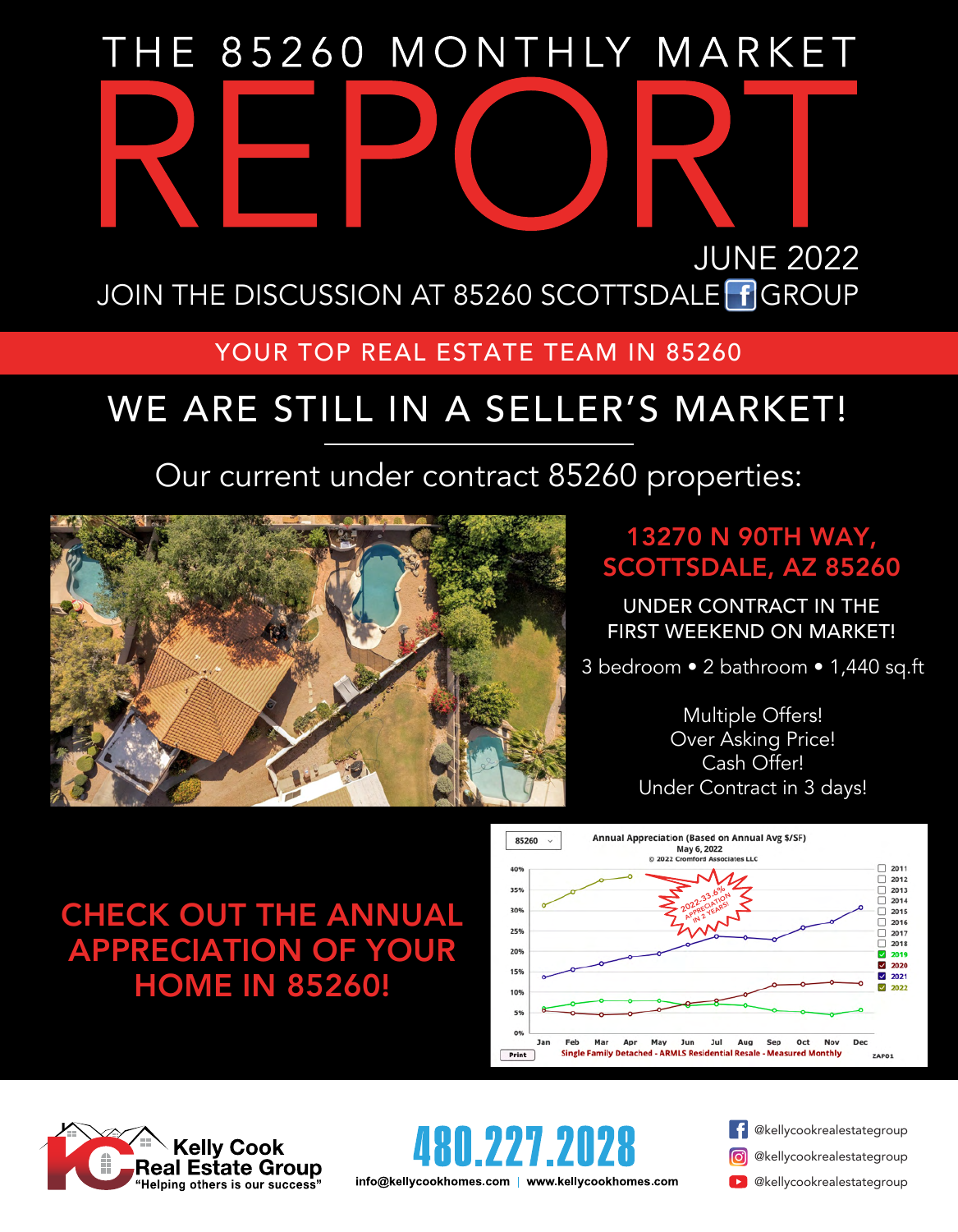# THE 85260 MONTHLY MARKET JUNE 2022 JOIN THE DISCUSSION AT 85260 SCOTTSDALE FGROUP

#### YOUR TOP REAL ESTATE TEAM IN 85260

# WE ARE STILL IN A SELLER'S MARKET!

## Our current under contract 85260 properties:



#### 13270 N 90TH WAY, SCOTTSDALE, AZ 85260

UNDER CONTRACT IN THE FIRST WEEKEND ON MARKET!

3 bedroom • 2 bathroom • 1,440 sq.ft

Multiple Offers! Over Asking Price! Cash Offer! Under Contract in 3 days!

## CHECK OUT THE ANNUAL APPRECIATION OF YOUR HOME IN 85260!